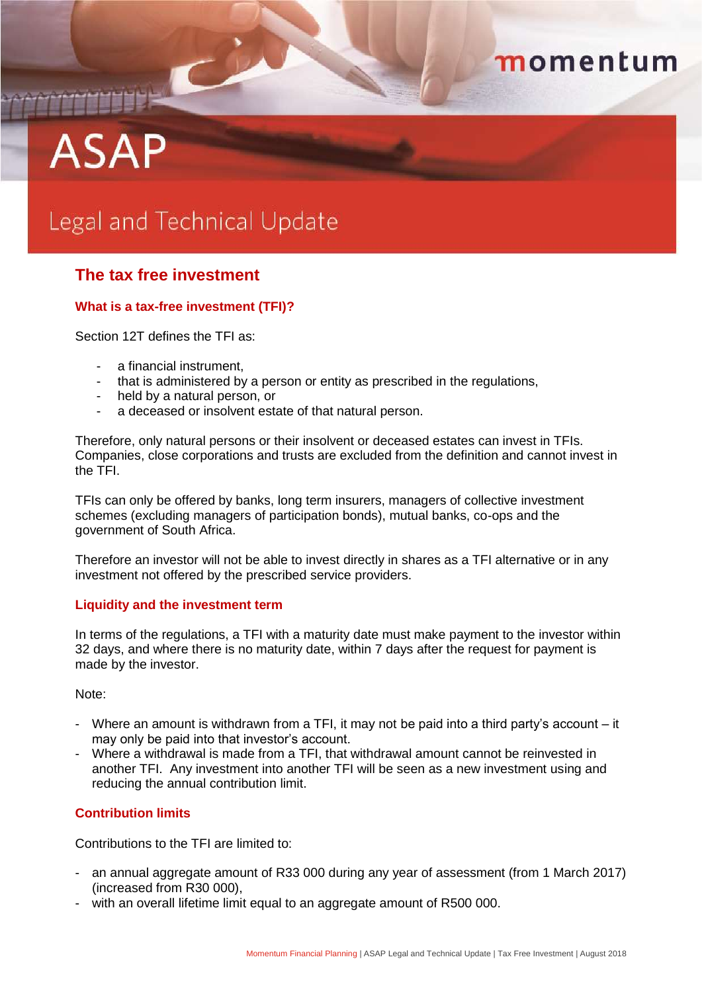# momentum

# **ASAP**

THE PERSON

# Legal and Technical Update

# **The tax free investment**

# **What is a tax-free investment (TFI)?**

Section 12T defines the TFI as:

- a financial instrument,
- that is administered by a person or entity as prescribed in the regulations,
- held by a natural person, or
- a deceased or insolvent estate of that natural person.

Therefore, only natural persons or their insolvent or deceased estates can invest in TFIs. Companies, close corporations and trusts are excluded from the definition and cannot invest in the TFI.

TFIs can only be offered by banks, long term insurers, managers of collective investment schemes (excluding managers of participation bonds), mutual banks, co-ops and the government of South Africa.

Therefore an investor will not be able to invest directly in shares as a TFI alternative or in any investment not offered by the prescribed service providers.

# **Liquidity and the investment term**

In terms of the regulations, a TFI with a maturity date must make payment to the investor within 32 days, and where there is no maturity date, within 7 days after the request for payment is made by the investor.

Note:

- Where an amount is withdrawn from a TFI, it may not be paid into a third party's account it may only be paid into that investor's account.
- Where a withdrawal is made from a TFI, that withdrawal amount cannot be reinvested in another TFI. Any investment into another TFI will be seen as a new investment using and reducing the annual contribution limit.

# **Contribution limits**

Contributions to the TFI are limited to:

- an annual aggregate amount of R33 000 during any year of assessment (from 1 March 2017) (increased from R30 000),
- with an overall lifetime limit equal to an aggregate amount of R500 000.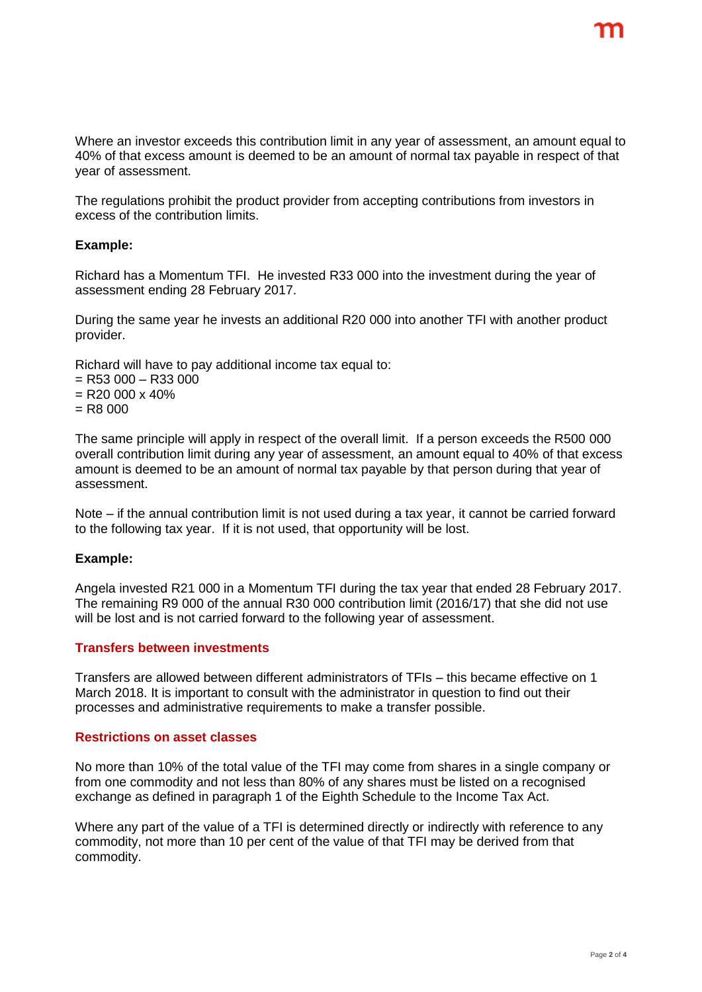Where an investor exceeds this contribution limit in any year of assessment, an amount equal to 40% of that excess amount is deemed to be an amount of normal tax payable in respect of that year of assessment.

The regulations prohibit the product provider from accepting contributions from investors in excess of the contribution limits.

#### **Example:**

Richard has a Momentum TFI. He invested R33 000 into the investment during the year of assessment ending 28 February 2017.

During the same year he invests an additional R20 000 into another TFI with another product provider.

Richard will have to pay additional income tax equal to:

- $=$  R53 000  $-$  R33 000
- $=$  R20 000 x 40%
- $=$  R<sub>8</sub> 000

The same principle will apply in respect of the overall limit. If a person exceeds the R500 000 overall contribution limit during any year of assessment, an amount equal to 40% of that excess amount is deemed to be an amount of normal tax payable by that person during that year of assessment.

Note – if the annual contribution limit is not used during a tax year, it cannot be carried forward to the following tax year. If it is not used, that opportunity will be lost.

#### **Example:**

Angela invested R21 000 in a Momentum TFI during the tax year that ended 28 February 2017. The remaining R9 000 of the annual R30 000 contribution limit (2016/17) that she did not use will be lost and is not carried forward to the following year of assessment.

#### **Transfers between investments**

Transfers are allowed between different administrators of TFIs – this became effective on 1 March 2018. It is important to consult with the administrator in question to find out their processes and administrative requirements to make a transfer possible.

#### **Restrictions on asset classes**

No more than 10% of the total value of the TFI may come from shares in a single company or from one commodity and not less than 80% of any shares must be listed on a recognised exchange as defined in paragraph 1 of the Eighth Schedule to the Income Tax Act.

Where any part of the value of a TFI is determined directly or indirectly with reference to any commodity, not more than 10 per cent of the value of that TFI may be derived from that commodity.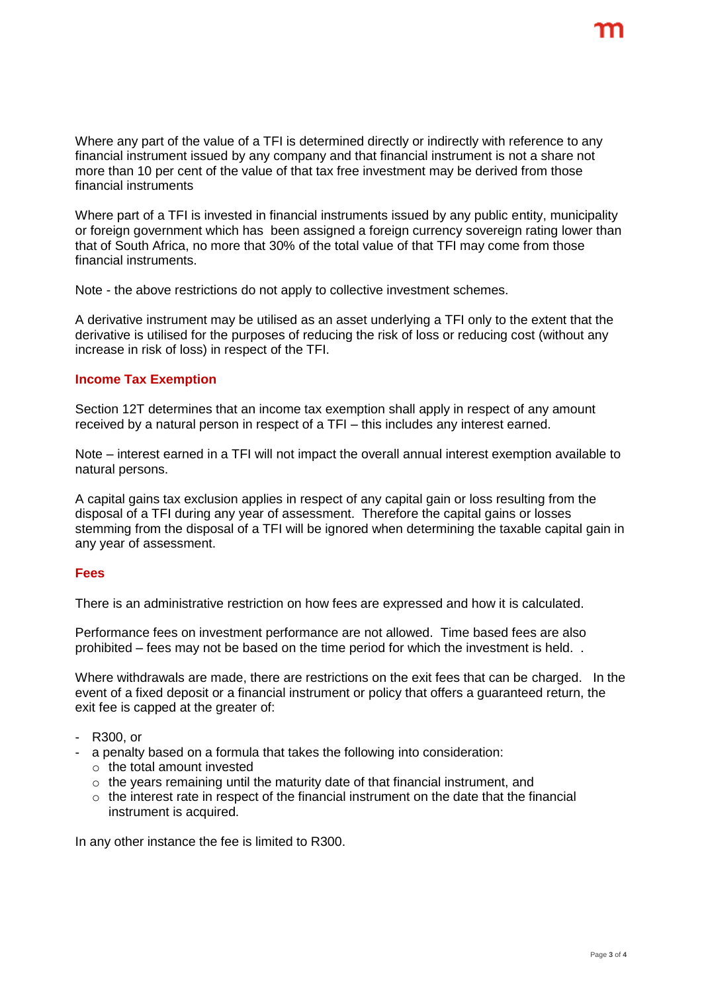Where any part of the value of a TFI is determined directly or indirectly with reference to any financial instrument issued by any company and that financial instrument is not a share not more than 10 per cent of the value of that tax free investment may be derived from those financial instruments

Where part of a TFI is invested in financial instruments issued by any public entity, municipality or foreign government which has been assigned a foreign currency sovereign rating lower than that of South Africa, no more that 30% of the total value of that TFI may come from those financial instruments.

Note - the above restrictions do not apply to collective investment schemes.

A derivative instrument may be utilised as an asset underlying a TFI only to the extent that the derivative is utilised for the purposes of reducing the risk of loss or reducing cost (without any increase in risk of loss) in respect of the TFI.

# **Income Tax Exemption**

Section 12T determines that an income tax exemption shall apply in respect of any amount received by a natural person in respect of a TFI – this includes any interest earned.

Note – interest earned in a TFI will not impact the overall annual interest exemption available to natural persons.

A capital gains tax exclusion applies in respect of any capital gain or loss resulting from the disposal of a TFI during any year of assessment. Therefore the capital gains or losses stemming from the disposal of a TFI will be ignored when determining the taxable capital gain in any year of assessment.

# **Fees**

There is an administrative restriction on how fees are expressed and how it is calculated.

Performance fees on investment performance are not allowed. Time based fees are also prohibited – fees may not be based on the time period for which the investment is held. .

Where withdrawals are made, there are restrictions on the exit fees that can be charged. In the event of a fixed deposit or a financial instrument or policy that offers a guaranteed return, the exit fee is capped at the greater of:

- R300, or
- a penalty based on a formula that takes the following into consideration:
	- o the total amount invested
	- $\circ$  the years remaining until the maturity date of that financial instrument, and
	- $\circ$  the interest rate in respect of the financial instrument on the date that the financial instrument is acquired.

In any other instance the fee is limited to R300.